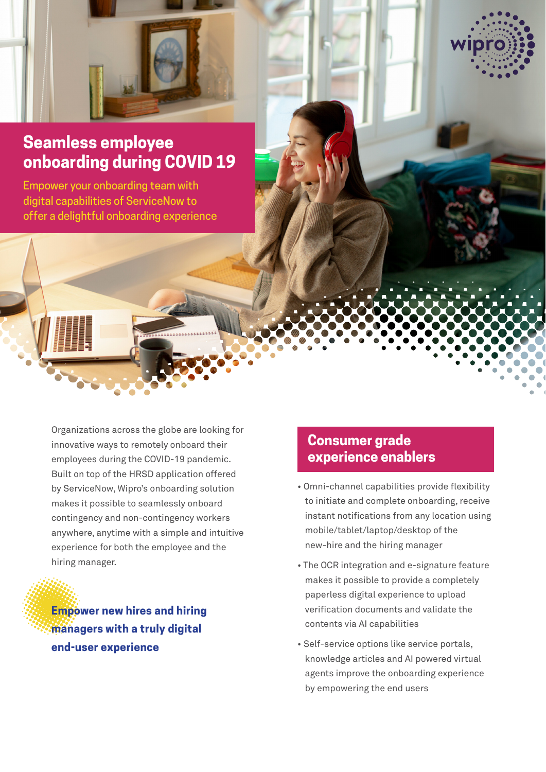

# **Seamless employee onboarding during COVID 19**

Empower your onboarding team with digital capabilities of ServiceNow to offer a delightful onboarding experience

> Organizations across the globe are looking for innovative ways to remotely onboard their employees during the COVID-19 pandemic. Built on top of the HRSD application offered by ServiceNow, Wipro's onboarding solution makes it possible to seamlessly onboard contingency and non-contingency workers anywhere, anytime with a simple and intuitive experience for both the employee and the hiring manager.

**Empower new hires and hiring**  *managers with a truly digital* **end-user experience** 

### **Consumer grade experience enablers**

- Omni-channel capabilities provide flexibility to initiate and complete onboarding, receive instant notifications from any location using mobile/tablet/laptop/desktop of the new-hire and the hiring manager
- The OCR integration and e-signature feature makes it possible to provide a completely paperless digital experience to upload verification documents and validate the contents via AI capabilities
- Self-service options like service portals, knowledge articles and AI powered virtual agents improve the onboarding experience by empowering the end users